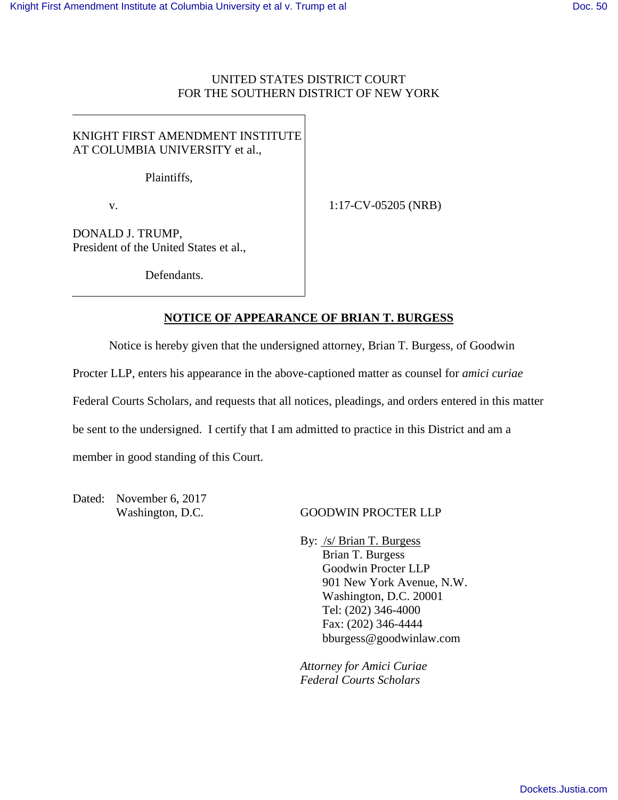### UNITED STATES DISTRICT COURT FOR THE SOUTHERN DISTRICT OF NEW YORK

# KNIGHT FIRST AMENDMENT INSTITUTE AT COLUMBIA UNIVERSITY et al.,

Plaintiffs,

v.

1:17-CV-05205 (NRB)

DONALD J. TRUMP, President of the United States et al.,

Defendants.

### **NOTICE OF APPEARANCE OF BRIAN T. BURGESS**

Notice is hereby given that the undersigned attorney, Brian T. Burgess, of Goodwin

Procter LLP, enters his appearance in the above-captioned matter as counsel for *amici curiae* 

Federal Courts Scholars, and requests that all notices, pleadings, and orders entered in this matter

be sent to the undersigned. I certify that I am admitted to practice in this District and am a

member in good standing of this Court.

Dated: November 6, 2017

#### Washington, D.C. GOODWIN PROCTER LLP

By: /s/ Brian T. Burgess Brian T. Burgess Goodwin Procter LLP 901 New York Avenue, N.W. Washington, D.C. 20001 Tel: (202) 346-4000 Fax: (202) 346-4444 bburgess@goodwinlaw.com

*Attorney for Amici Curiae Federal Courts Scholars*